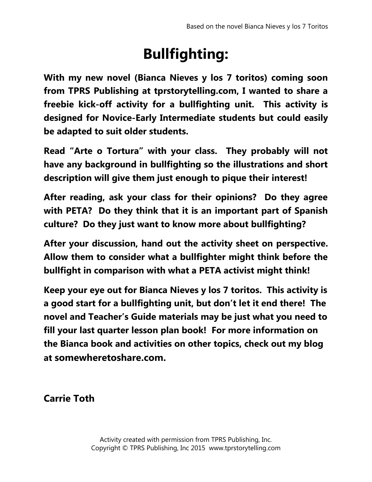## **Bullfighting:**

**With my new novel (Bianca Nieves y los 7 toritos) coming soon from TPRS Publishing at tprstorytelling.com, I wanted to share a freebie kick-off activity for a bullfighting unit. This activity is designed for Novice-Early Intermediate students but could easily be adapted to suit older students.**

**Read "Arte o Tortura" with your class. They probably will not have any background in bullfighting so the illustrations and short description will give them just enough to pique their interest!** 

**After reading, ask your class for their opinions? Do they agree with PETA? Do they think that it is an important part of Spanish culture? Do they just want to know more about bullfighting?**

**After your discussion, hand out the activity sheet on perspective. Allow them to consider what a bullfighter might think before the bullfight in comparison with what a PETA activist might think!** 

**Keep your eye out for Bianca Nieves y los 7 toritos. This activity is a good start for a bullfighting unit, but don't let it end there! The novel and Teacher's Guide materials may be just what you need to fill your last quarter lesson plan book! For more information on the Bianca book and activities on other topics, check out my blog at somewheretoshare.com.**

**Carrie Toth**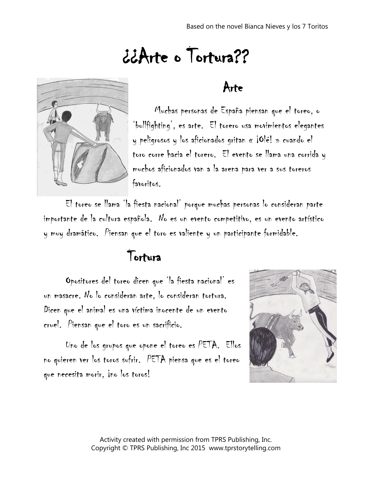# ¿¿Arte o Tortura??



#### Arte

Muchas personas de España piensan que el toreo, o 'bullfighting', es arte. El torero usa movimientos elegantes y peligrosos y los aficionados gritan « ¡Olé! » cuando el toro corre hacia el torero. El evento se llama una corrida y muchos aficionados van a la arena para ver a sus toreros favoritos.

El toreo se llama 'la fiesta nacional' porque muchas personas lo consideran parte importante de la cultura española. No es un evento competitivo, es un evento artístico y muy dramático. Piensan que el toro es valiente y un participante formidable.

### Tortura

Opositores del toreo dicen que 'la fiesta nacional' es un masacre. No lo consideran arte, lo consideran tortura. Dicen que el animal es una víctima inocente de un evento cruel. Piensan que el toro es un sacrificio.

Uno de los grupos que opone el toreo es PETA. Ellos no quieren ver los toros sufrir. PETA piensa que es el toreo que necesita morir, ino los toros!